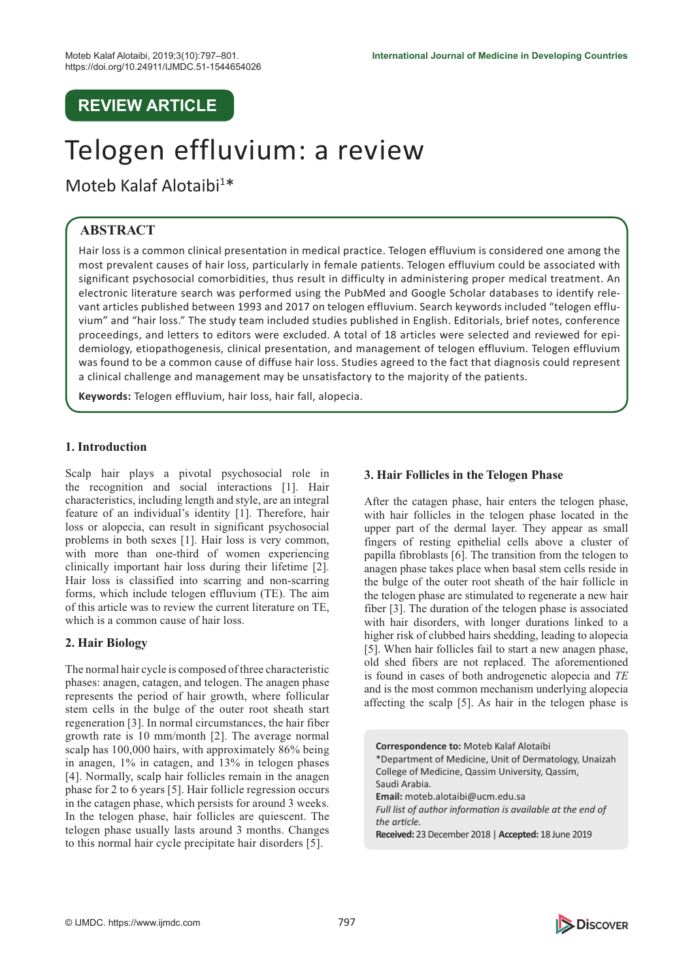# **REVIEW ARTICLE**

# Telogen effluvium: a review

Moteb Kalaf Alotaibi<sup>1\*</sup>

# **ABSTRACT**

Hair loss is a common clinical presentation in medical practice. Telogen effluvium is considered one among the most prevalent causes of hair loss, particularly in female patients. Telogen effluvium could be associated with significant psychosocial comorbidities, thus result in difficulty in administering proper medical treatment. An electronic literature search was performed using the PubMed and Google Scholar databases to identify relevant articles published between 1993 and 2017 on telogen effluvium. Search keywords included "telogen effluvium" and "hair loss." The study team included studies published in English. Editorials, brief notes, conference proceedings, and letters to editors were excluded. A total of 18 articles were selected and reviewed for epidemiology, etiopathogenesis, clinical presentation, and management of telogen effluvium. Telogen effluvium was found to be a common cause of diffuse hair loss. Studies agreed to the fact that diagnosis could represent a clinical challenge and management may be unsatisfactory to the majority of the patients.

**Keywords:** Telogen effluvium, hair loss, hair fall, alopecia.

# **1. Introduction**

Scalp hair plays a pivotal psychosocial role in the recognition and social interactions [1]. Hair characteristics, including length and style, are an integral feature of an individual's identity [1]. Therefore, hair loss or alopecia, can result in significant psychosocial problems in both sexes [1]. Hair loss is very common, with more than one-third of women experiencing clinically important hair loss during their lifetime [2]. Hair loss is classified into scarring and non-scarring forms, which include telogen effluvium (TE). The aim of this article was to review the current literature on TE, which is a common cause of hair loss.

# **2. Hair Biology**

The normal hair cycle is composed of three characteristic phases: anagen, catagen, and telogen. The anagen phase represents the period of hair growth, where follicular stem cells in the bulge of the outer root sheath start regeneration [3]. In normal circumstances, the hair fiber growth rate is 10 mm/month [2]. The average normal scalp has 100,000 hairs, with approximately 86% being in anagen, 1% in catagen, and 13% in telogen phases [4]. Normally, scalp hair follicles remain in the anagen phase for 2 to 6 years [5]. Hair follicle regression occurs in the catagen phase, which persists for around 3 weeks. In the telogen phase, hair follicles are quiescent. The telogen phase usually lasts around 3 months. Changes to this normal hair cycle precipitate hair disorders [5].

#### **3. Hair Follicles in the Telogen Phase**

After the catagen phase, hair enters the telogen phase, with hair follicles in the telogen phase located in the upper part of the dermal layer. They appear as small fingers of resting epithelial cells above a cluster of papilla fibroblasts [6]. The transition from the telogen to anagen phase takes place when basal stem cells reside in the bulge of the outer root sheath of the hair follicle in the telogen phase are stimulated to regenerate a new hair fiber [3]. The duration of the telogen phase is associated with hair disorders, with longer durations linked to a higher risk of clubbed hairs shedding, leading to alopecia [5]. When hair follicles fail to start a new anagen phase, old shed fibers are not replaced. The aforementioned is found in cases of both androgenetic alopecia and *TE* and is the most common mechanism underlying alopecia affecting the scalp [5]. As hair in the telogen phase is

**Correspondence to:** Moteb Kalaf Alotaibi \*Department of Medicine, Unit of Dermatology, Unaizah College of Medicine, Qassim University, Qassim, Saudi Arabia. **Email:** moteb.alotaibi@ucm.edu.sa *Full list of author information is available at the end of the article.* **Received:** 23 December 2018 | **Accepted:** 18 June 2019

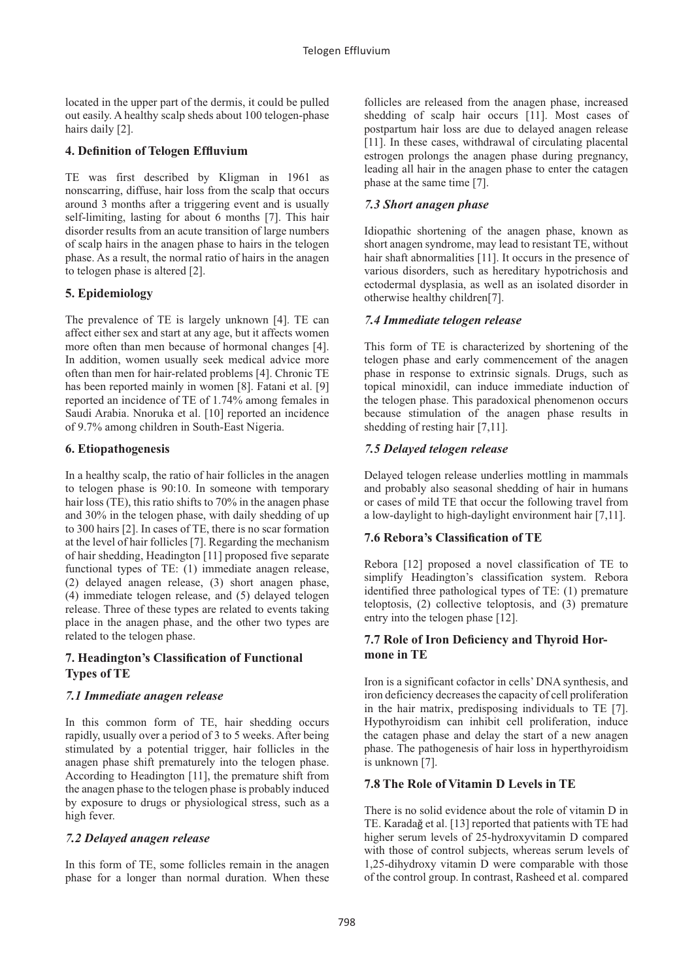located in the upper part of the dermis, it could be pulled out easily. A healthy scalp sheds about 100 telogen-phase hairs daily [2].

# **4. Definition of Telogen Effluvium**

TE was first described by Kligman in 1961 as nonscarring, diffuse, hair loss from the scalp that occurs around 3 months after a triggering event and is usually self-limiting, lasting for about 6 months [7]. This hair disorder results from an acute transition of large numbers of scalp hairs in the anagen phase to hairs in the telogen phase. As a result, the normal ratio of hairs in the anagen to telogen phase is altered [2].

# **5. Epidemiology**

The prevalence of TE is largely unknown [4]. TE can affect either sex and start at any age, but it affects women more often than men because of hormonal changes [4]. In addition, women usually seek medical advice more often than men for hair-related problems [4]. Chronic TE has been reported mainly in women [8]. Fatani et al. [9] reported an incidence of TE of 1.74% among females in Saudi Arabia. Nnoruka et al. [10] reported an incidence of 9.7% among children in South-East Nigeria.

# **6. Etiopathogenesis**

In a healthy scalp, the ratio of hair follicles in the anagen to telogen phase is 90:10. In someone with temporary hair loss (TE), this ratio shifts to 70% in the anagen phase and 30% in the telogen phase, with daily shedding of up to 300 hairs [2]. In cases of TE, there is no scar formation at the level of hair follicles [7]. Regarding the mechanism of hair shedding, Headington [11] proposed five separate functional types of TE: (1) immediate anagen release, (2) delayed anagen release, (3) short anagen phase, (4) immediate telogen release, and (5) delayed telogen release. Three of these types are related to events taking place in the anagen phase, and the other two types are related to the telogen phase.

# **7. Headington's Classification of Functional Types of TE**

# *7.1 Immediate anagen release*

In this common form of TE, hair shedding occurs rapidly, usually over a period of 3 to 5 weeks. After being stimulated by a potential trigger, hair follicles in the anagen phase shift prematurely into the telogen phase. According to Headington [11], the premature shift from the anagen phase to the telogen phase is probably induced by exposure to drugs or physiological stress, such as a high fever.

# *7.2 Delayed anagen release*

In this form of TE, some follicles remain in the anagen phase for a longer than normal duration. When these

follicles are released from the anagen phase, increased shedding of scalp hair occurs [11]. Most cases of postpartum hair loss are due to delayed anagen release [11]. In these cases, withdrawal of circulating placental estrogen prolongs the anagen phase during pregnancy, leading all hair in the anagen phase to enter the catagen phase at the same time [7].

# *7.3 Short anagen phase*

Idiopathic shortening of the anagen phase, known as short anagen syndrome, may lead to resistant TE, without hair shaft abnormalities [11]. It occurs in the presence of various disorders, such as hereditary hypotrichosis and ectodermal dysplasia, as well as an isolated disorder in otherwise healthy children[7].

# *7.4 Immediate telogen release*

This form of TE is characterized by shortening of the telogen phase and early commencement of the anagen phase in response to extrinsic signals. Drugs, such as topical minoxidil, can induce immediate induction of the telogen phase. This paradoxical phenomenon occurs because stimulation of the anagen phase results in shedding of resting hair [7,11].

#### *7.5 Delayed telogen release*

Delayed telogen release underlies mottling in mammals and probably also seasonal shedding of hair in humans or cases of mild TE that occur the following travel from a low-daylight to high-daylight environment hair [7,11].

# **7.6 Rebora's Classification of TE**

Rebora [12] proposed a novel classification of TE to simplify Headington's classification system. Rebora identified three pathological types of TE: (1) premature teloptosis, (2) collective teloptosis, and (3) premature entry into the telogen phase [12].

#### **7.7 Role of Iron Deficiency and Thyroid Hormone in TE**

Iron is a significant cofactor in cells' DNA synthesis, and iron deficiency decreases the capacity of cell proliferation in the hair matrix, predisposing individuals to TE [7]. Hypothyroidism can inhibit cell proliferation, induce the catagen phase and delay the start of a new anagen phase. The pathogenesis of hair loss in hyperthyroidism is unknown [7].

# **7.8 The Role of Vitamin D Levels in TE**

There is no solid evidence about the role of vitamin D in TE. Karadağ et al. [13] reported that patients with TE had higher serum levels of 25-hydroxyvitamin D compared with those of control subjects, whereas serum levels of 1,25-dihydroxy vitamin D were comparable with those of the control group. In contrast, Rasheed et al. compared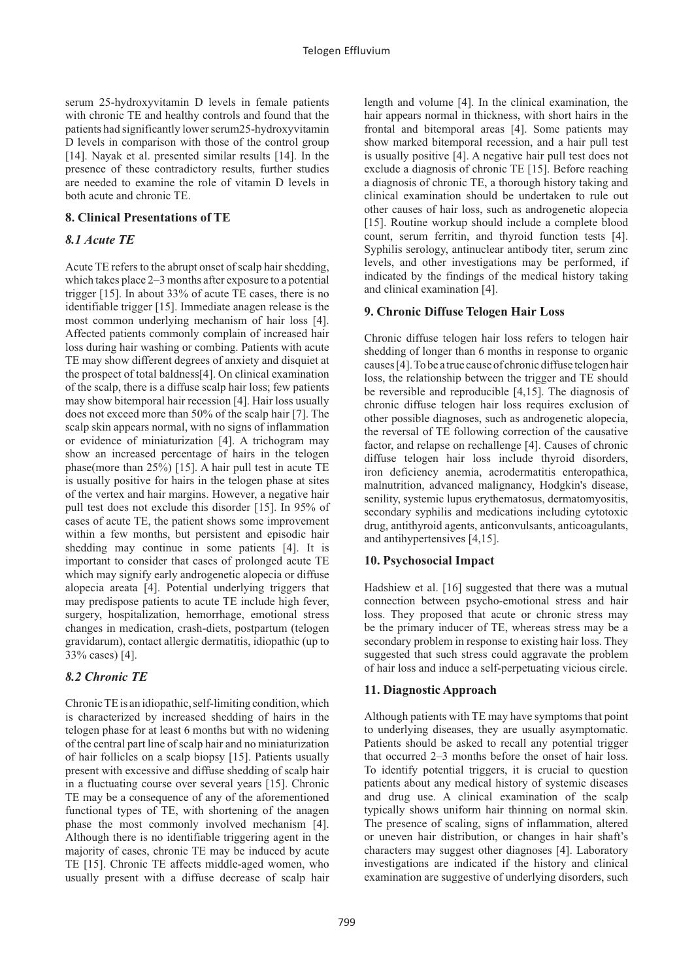serum 25-hydroxyvitamin D levels in female patients with chronic TE and healthy controls and found that the patients had significantly lower serum25-hydroxyvitamin D levels in comparison with those of the control group [14]. Nayak et al. presented similar results [14]. In the presence of these contradictory results, further studies are needed to examine the role of vitamin D levels in both acute and chronic TE.

#### **8. Clinical Presentations of TE**

#### *8.1 Acute TE*

Acute TE refers to the abrupt onset of scalp hair shedding, which takes place 2–3 months after exposure to a potential trigger [15]. In about 33% of acute TE cases, there is no identifiable trigger [15]. Immediate anagen release is the most common underlying mechanism of hair loss [4]. Affected patients commonly complain of increased hair loss during hair washing or combing. Patients with acute TE may show different degrees of anxiety and disquiet at the prospect of total baldness[4]. On clinical examination of the scalp, there is a diffuse scalp hair loss; few patients may show bitemporal hair recession [4]. Hair loss usually does not exceed more than 50% of the scalp hair [7]. The scalp skin appears normal, with no signs of inflammation or evidence of miniaturization [4]. A trichogram may show an increased percentage of hairs in the telogen phase(more than 25%) [15]. A hair pull test in acute TE is usually positive for hairs in the telogen phase at sites of the vertex and hair margins. However, a negative hair pull test does not exclude this disorder [15]. In 95% of cases of acute TE, the patient shows some improvement within a few months, but persistent and episodic hair shedding may continue in some patients [4]. It is important to consider that cases of prolonged acute TE which may signify early androgenetic alopecia or diffuse alopecia areata [4]. Potential underlying triggers that may predispose patients to acute TE include high fever, surgery, hospitalization, hemorrhage, emotional stress changes in medication, crash-diets, postpartum (telogen gravidarum), contact allergic dermatitis, idiopathic (up to 33% cases) [4].

# *8.2 Chronic TE*

Chronic TE is an idiopathic, self-limiting condition, which is characterized by increased shedding of hairs in the telogen phase for at least 6 months but with no widening of the central part line of scalp hair and no miniaturization of hair follicles on a scalp biopsy [15]. Patients usually present with excessive and diffuse shedding of scalp hair in a fluctuating course over several years [15]. Chronic TE may be a consequence of any of the aforementioned functional types of TE, with shortening of the anagen phase the most commonly involved mechanism [4]. Although there is no identifiable triggering agent in the majority of cases, chronic TE may be induced by acute TE [15]. Chronic TE affects middle-aged women, who usually present with a diffuse decrease of scalp hair

length and volume [4]. In the clinical examination, the hair appears normal in thickness, with short hairs in the frontal and bitemporal areas [4]. Some patients may show marked bitemporal recession, and a hair pull test is usually positive [4]. A negative hair pull test does not exclude a diagnosis of chronic TE [15]. Before reaching a diagnosis of chronic TE, a thorough history taking and clinical examination should be undertaken to rule out other causes of hair loss, such as androgenetic alopecia [15]. Routine workup should include a complete blood count, serum ferritin, and thyroid function tests [4]. Syphilis serology, antinuclear antibody titer, serum zinc levels, and other investigations may be performed, if indicated by the findings of the medical history taking and clinical examination [4].

#### **9. Chronic Diffuse Telogen Hair Loss**

Chronic diffuse telogen hair loss refers to telogen hair shedding of longer than 6 months in response to organic causes [4]. To be a true cause of chronic diffuse telogen hair loss, the relationship between the trigger and TE should be reversible and reproducible [4,15]. The diagnosis of chronic diffuse telogen hair loss requires exclusion of other possible diagnoses, such as androgenetic alopecia, the reversal of TE following correction of the causative factor, and relapse on rechallenge [4]. Causes of chronic diffuse telogen hair loss include thyroid disorders, iron deficiency anemia, acrodermatitis enteropathica, malnutrition, advanced malignancy, Hodgkin's disease, senility, systemic lupus erythematosus, dermatomyositis, secondary syphilis and medications including cytotoxic drug, antithyroid agents, anticonvulsants, anticoagulants, and antihypertensives [4,15].

#### **10. Psychosocial Impact**

Hadshiew et al. [16] suggested that there was a mutual connection between psycho-emotional stress and hair loss. They proposed that acute or chronic stress may be the primary inducer of TE, whereas stress may be a secondary problem in response to existing hair loss. They suggested that such stress could aggravate the problem of hair loss and induce a self-perpetuating vicious circle.

#### **11. Diagnostic Approach**

Although patients with TE may have symptoms that point to underlying diseases, they are usually asymptomatic. Patients should be asked to recall any potential trigger that occurred 2–3 months before the onset of hair loss. To identify potential triggers, it is crucial to question patients about any medical history of systemic diseases and drug use. A clinical examination of the scalp typically shows uniform hair thinning on normal skin. The presence of scaling, signs of inflammation, altered or uneven hair distribution, or changes in hair shaft's characters may suggest other diagnoses [4]. Laboratory investigations are indicated if the history and clinical examination are suggestive of underlying disorders, such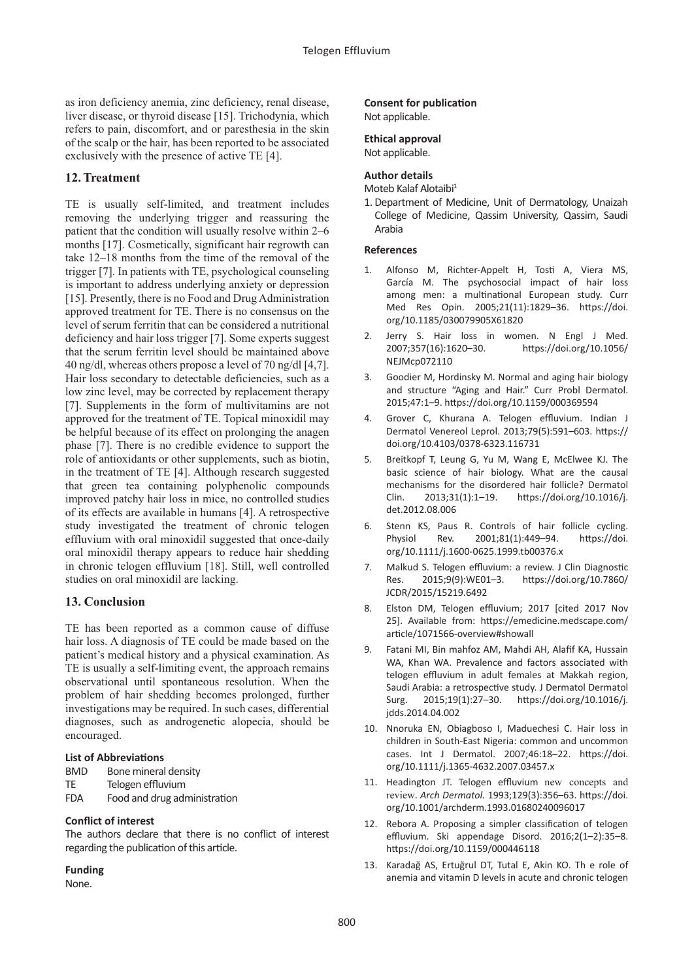as iron deficiency anemia, zinc deficiency, renal disease, liver disease, or thyroid disease [15]. Trichodynia, which refers to pain, discomfort, and or paresthesia in the skin of the scalp or the hair, has been reported to be associated exclusively with the presence of active TE [4].

#### **12. Treatment**

TE is usually self-limited, and treatment includes removing the underlying trigger and reassuring the patient that the condition will usually resolve within 2–6 months [17]. Cosmetically, significant hair regrowth can take 12–18 months from the time of the removal of the trigger [7]. In patients with TE, psychological counseling is important to address underlying anxiety or depression [15]. Presently, there is no Food and Drug Administration approved treatment for TE. There is no consensus on the level of serum ferritin that can be considered a nutritional deficiency and hair loss trigger [7]. Some experts suggest that the serum ferritin level should be maintained above 40 ng/dl, whereas others propose a level of 70 ng/dl [4,7]. Hair loss secondary to detectable deficiencies, such as a low zinc level, may be corrected by replacement therapy [7]. Supplements in the form of multivitamins are not approved for the treatment of TE. Topical minoxidil may be helpful because of its effect on prolonging the anagen phase [7]. There is no credible evidence to support the role of antioxidants or other supplements, such as biotin, in the treatment of TE [4]. Although research suggested that green tea containing polyphenolic compounds improved patchy hair loss in mice, no controlled studies of its effects are available in humans [4]. A retrospective study investigated the treatment of chronic telogen effluvium with oral minoxidil suggested that once-daily oral minoxidil therapy appears to reduce hair shedding in chronic telogen effluvium [18]. Still, well controlled studies on oral minoxidil are lacking.

# **13. Conclusion**

TE has been reported as a common cause of diffuse hair loss. A diagnosis of TE could be made based on the patient's medical history and a physical examination. As TE is usually a self-limiting event, the approach remains observational until spontaneous resolution. When the problem of hair shedding becomes prolonged, further investigations may be required. In such cases, differential diagnoses, such as androgenetic alopecia, should be encouraged.

#### **List of Abbreviations**

BMD Bone mineral density

- TE Telogen effluvium
- FDA Food and drug administration

#### **Conflict of interest**

The authors declare that there is no conflict of interest regarding the publication of this article.

#### **Funding**

None.

#### **Consent for publication** Not applicable.

# **Ethical approval**

Not applicable.

#### **Author details**

Moteb Kalaf Alotaibi<sup>1</sup>

1. Department of Medicine, Unit of Dermatology, Unaizah College of Medicine, Qassim University, Qassim, Saudi Arabia

#### **References**

- 1. Alfonso M, Richter-Appelt H, Tosti A, Viera MS, García M. The psychosocial impact of hair loss among men: a multinational European study. Curr Med Res Opin. 2005;21(11):1829–36. [https://doi.](https://doi.org/10.1185/030079905X61820) [org/10.1185/030079905X61820](https://doi.org/10.1185/030079905X61820)
- Jerry S. Hair loss in women. N Engl J Med. 2007;357(16):1620–30. [https://doi.org/10.1056/](https://doi.org/10.1056/NEJMcp072110) [NEJMcp072110](https://doi.org/10.1056/NEJMcp072110)
- 3. Goodier M, Hordinsky M. Normal and aging hair biology and structure "Aging and Hair." Curr Probl Dermatol. 2015;47:1–9. <https://doi.org/10.1159/000369594>
- 4. Grover C, Khurana A. Telogen effluvium. Indian J Dermatol Venereol Leprol. 2013;79(5):591–603. [https://](https://doi.org/10.4103/0378-6323.116731) [doi.org/10.4103/0378-6323.116731](https://doi.org/10.4103/0378-6323.116731)
- 5. Breitkopf T, Leung G, Yu M, Wang E, McElwee KJ. The basic science of hair biology. What are the causal mechanisms for the disordered hair follicle? Dermatol Clin. 2013;31(1):1–19. [https://doi.org/10.1016/j.](https://doi.org/10.1016/j.det.2012.08.006) [det.2012.08.006](https://doi.org/10.1016/j.det.2012.08.006)
- 6. Stenn KS, Paus R. Controls of hair follicle cycling. Physiol Rev. 2001;81(1):449–94. [https://doi.](https://doi.org/10.1111/j.1600-0625.1999.tb00376.x) [org/10.1111/j.1600-0625.1999.tb00376.x](https://doi.org/10.1111/j.1600-0625.1999.tb00376.x)
- 7. Malkud S. Telogen effluvium: a review. J Clin Diagnostic Res. 2015;9(9):WE01–3. [https://doi.org/10.7860/](https://doi.org/10.7860/JCDR/2015/15219.6492) [JCDR/2015/15219.6492](https://doi.org/10.7860/JCDR/2015/15219.6492)
- 8. Elston DM, Telogen effluvium; 2017 [cited 2017 Nov 25]. Available from: [https://emedicine.medscape.com/](https://emedicine.medscape.com/article/1071566-overview#showall) [article/1071566-overview#showall](https://emedicine.medscape.com/article/1071566-overview#showall)
- 9. Fatani MI, Bin mahfoz AM, Mahdi AH, Alafif KA, Hussain WA, Khan WA. Prevalence and factors associated with telogen effluvium in adult females at Makkah region, Saudi Arabia: a retrospective study. J Dermatol Dermatol Surg. 2015;19(1):27–30. [https://doi.org/10.1016/j.](https://doi.org/10.1016/j.jdds.2014.04.002) [jdds.2014.04.002](https://doi.org/10.1016/j.jdds.2014.04.002)
- 10. Nnoruka EN, Obiagboso I, Maduechesi C. Hair loss in children in South-East Nigeria: common and uncommon cases. Int J Dermatol. 2007;46:18–22. [https://doi.](https://doi.org/10.1111/j.1365-4632.2007.03457.x) [org/10.1111/j.1365-4632.2007.03457.x](https://doi.org/10.1111/j.1365-4632.2007.03457.x)
- 11. Headington JT. Telogen effluvium new concepts and review. *Arch Dermatol.* 1993;129(3):356–63. [https://doi.](https://doi.org/10.1001/archderm.1993.01680240096017) [org/10.1001/archderm.1993.01680240096017](https://doi.org/10.1001/archderm.1993.01680240096017)
- 12. Rebora A. Proposing a simpler classification of telogen effluvium. Ski appendage Disord. 2016;2(1–2):35–8. <https://doi.org/10.1159/000446118>
- 13. Karadağ AS, Ertuğrul DT, Tutal E, Akin KO. Th e role of anemia and vitamin D levels in acute and chronic telogen